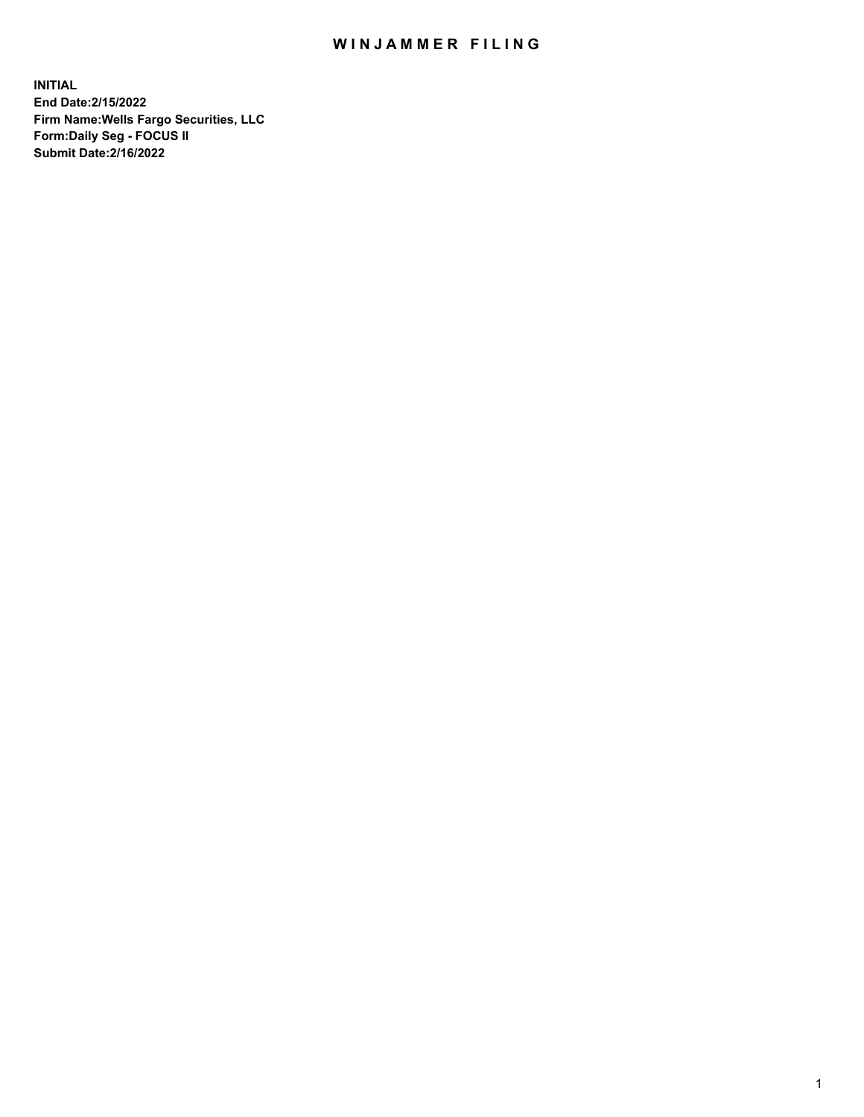## WIN JAMMER FILING

**INITIAL End Date:2/15/2022 Firm Name:Wells Fargo Securities, LLC Form:Daily Seg - FOCUS II Submit Date:2/16/2022**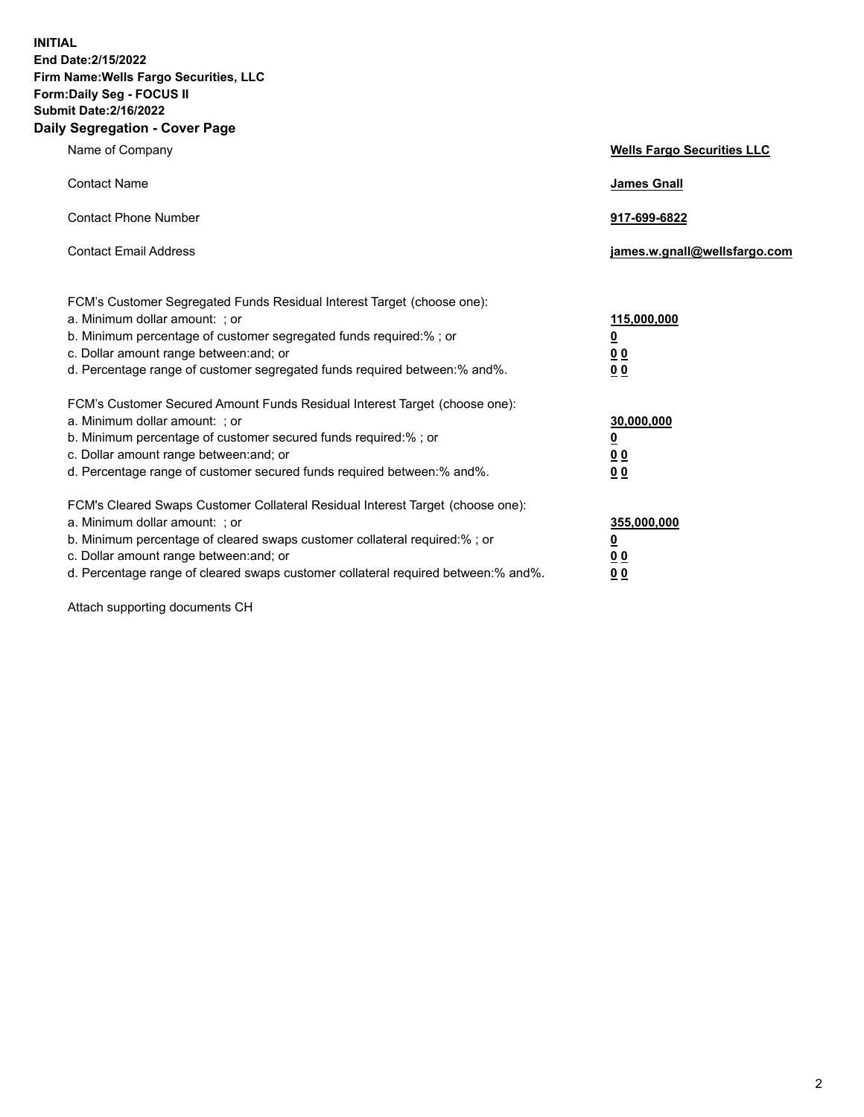**INITIAL End Date:2/15/2022 Firm Name:Wells Fargo Securities, LLC Form:Daily Seg - FOCUS II Submit Date:2/16/2022 Daily Segregation - Cover Page**

| Name of Company                                                                                                                                                                                                                                                                                                                | <b>Wells Fargo Securities LLC</b>                          |
|--------------------------------------------------------------------------------------------------------------------------------------------------------------------------------------------------------------------------------------------------------------------------------------------------------------------------------|------------------------------------------------------------|
| <b>Contact Name</b>                                                                                                                                                                                                                                                                                                            | <b>James Gnall</b>                                         |
| <b>Contact Phone Number</b>                                                                                                                                                                                                                                                                                                    | 917-699-6822                                               |
| <b>Contact Email Address</b>                                                                                                                                                                                                                                                                                                   | james.w.gnall@wellsfargo.com                               |
| FCM's Customer Segregated Funds Residual Interest Target (choose one):<br>a. Minimum dollar amount: ; or<br>b. Minimum percentage of customer segregated funds required:% ; or<br>c. Dollar amount range between: and; or<br>d. Percentage range of customer segregated funds required between:% and%.                         | 115,000,000<br><u>0</u><br>0 <sub>0</sub><br>00            |
| FCM's Customer Secured Amount Funds Residual Interest Target (choose one):<br>a. Minimum dollar amount: ; or<br>b. Minimum percentage of customer secured funds required:%; or<br>c. Dollar amount range between: and; or<br>d. Percentage range of customer secured funds required between:% and%.                            | 30,000,000<br><u>0</u><br>0 <sub>0</sub><br>0 <sub>0</sub> |
| FCM's Cleared Swaps Customer Collateral Residual Interest Target (choose one):<br>a. Minimum dollar amount: ; or<br>b. Minimum percentage of cleared swaps customer collateral required:% ; or<br>c. Dollar amount range between: and; or<br>d. Percentage range of cleared swaps customer collateral required between:% and%. | 355,000,000<br><u>0</u><br>00<br>00                        |

Attach supporting documents CH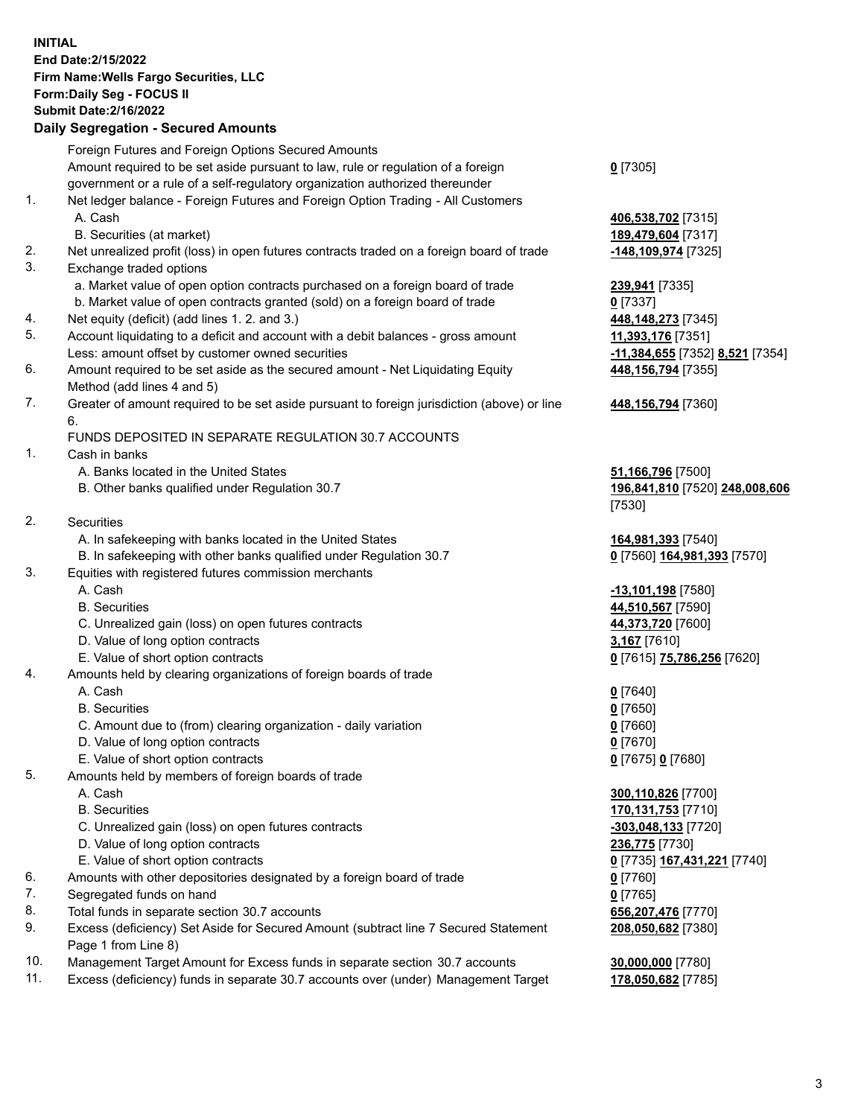**INITIAL End Date:2/15/2022 Firm Name:Wells Fargo Securities, LLC Form:Daily Seg - FOCUS II Submit Date:2/16/2022 Daily Segregation - Secured Amounts**

## Foreign Futures and Foreign Options Secured Amounts Amount required to be set aside pursuant to law, rule or regulation of a foreign government or a rule of a self-regulatory organization authorized thereunder 1. Net ledger balance - Foreign Futures and Foreign Option Trading - All Customers A. Cash **406,538,702** [7315] B. Securities (at market) **189,479,604** [7317] 2. Net unrealized profit (loss) in open futures contracts traded on a foreign board of trade **-148,109,974** [7325] 3. Exchange traded options a. Market value of open option contracts purchased on a foreign board of trade **239,941** [7335] b. Market value of open contracts granted (sold) on a foreign board of trade **0** [7337] 4. Net equity (deficit) (add lines 1. 2. and 3.) **448,148,273** [7345] 5. Account liquidating to a deficit and account with a debit balances - gross amount **11,393,176** [7351] Less: amount offset by customer owned securities **-11,384,655** [7352] **8,521** [7354] 6. Amount required to be set aside as the secured amount - Net Liquidating Equity Method (add lines 4 and 5)

7. Greater of amount required to be set aside pursuant to foreign jurisdiction (above) or line 6.

## FUNDS DEPOSITED IN SEPARATE REGULATION 30.7 ACCOUNTS

1. Cash in banks

- A. Banks located in the United States **51,166,796** [7500]
- B. Other banks qualified under Regulation 30.7 **196,841,810** [7520] **248,008,606**
- 2. Securities
	- A. In safekeeping with banks located in the United States **164,981,393** [7540]
- B. In safekeeping with other banks qualified under Regulation 30.7 **0** [7560] **164,981,393** [7570]
- 3. Equities with registered futures commission merchants
	-
	-
	- C. Unrealized gain (loss) on open futures contracts **44,373,720** [7600]
	- D. Value of long option contracts **3,167** [7610]
	- E. Value of short option contracts **0** [7615] **75,786,256** [7620]
- 4. Amounts held by clearing organizations of foreign boards of trade
	- A. Cash **0** [7640]
	- B. Securities **0** [7650]
	- C. Amount due to (from) clearing organization daily variation **0** [7660]
	- D. Value of long option contracts **0** [7670]
	- E. Value of short option contracts **0** [7675] **0** [7680]
- 5. Amounts held by members of foreign boards of trade
	-
	-
	- C. Unrealized gain (loss) on open futures contracts **-303,048,133** [7720]
	- D. Value of long option contracts **236,775** [7730]
	- E. Value of short option contracts **0** [7735] **167,431,221** [7740]
- 6. Amounts with other depositories designated by a foreign board of trade **0** [7760]
- 7. Segregated funds on hand **0** [7765]
- 8. Total funds in separate section 30.7 accounts **656,207,476** [7770]
- 9. Excess (deficiency) Set Aside for Secured Amount (subtract line 7 Secured Statement Page 1 from Line 8)
- 10. Management Target Amount for Excess funds in separate section 30.7 accounts **30,000,000** [7780]
- 11. Excess (deficiency) funds in separate 30.7 accounts over (under) Management Target **178,050,682** [7785]

**0** [7305]

**448,156,794** [7355]

## **448,156,794** [7360]

[7530]

 A. Cash **-13,101,198** [7580] B. Securities **44,510,567** [7590]

 A. Cash **300,110,826** [7700] B. Securities **170,131,753** [7710] **208,050,682** [7380]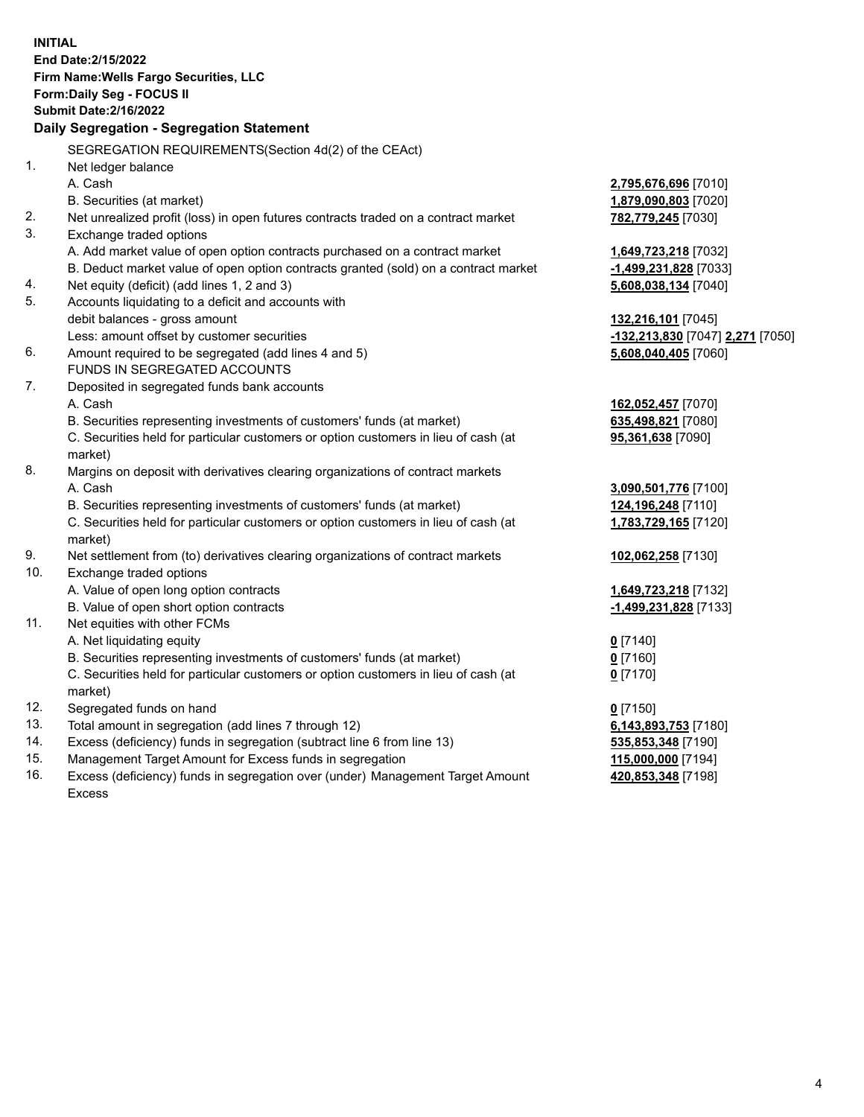**INITIAL End Date:2/15/2022 Firm Name:Wells Fargo Securities, LLC Form:Daily Seg - FOCUS II Submit Date:2/16/2022 Daily Segregation - Segregation Statement** SEGREGATION REQUIREMENTS(Section 4d(2) of the CEAct) 1. Net ledger balance A. Cash **2,795,676,696** [7010] B. Securities (at market) **1,879,090,803** [7020] 2. Net unrealized profit (loss) in open futures contracts traded on a contract market **782,779,245** [7030] 3. Exchange traded options A. Add market value of open option contracts purchased on a contract market **1,649,723,218** [7032] B. Deduct market value of open option contracts granted (sold) on a contract market **-1,499,231,828** [7033] 4. Net equity (deficit) (add lines 1, 2 and 3) **5,608,038,134** [7040] 5. Accounts liquidating to a deficit and accounts with debit balances - gross amount **132,216,101** [7045] Less: amount offset by customer securities **-132,213,830** [7047] **2,271** [7050] 6. Amount required to be segregated (add lines 4 and 5) **5,608,040,405** [7060] FUNDS IN SEGREGATED ACCOUNTS 7. Deposited in segregated funds bank accounts A. Cash **162,052,457** [7070] B. Securities representing investments of customers' funds (at market) **635,498,821** [7080] C. Securities held for particular customers or option customers in lieu of cash (at market) **95,361,638** [7090] 8. Margins on deposit with derivatives clearing organizations of contract markets A. Cash **3,090,501,776** [7100] B. Securities representing investments of customers' funds (at market) **124,196,248** [7110] C. Securities held for particular customers or option customers in lieu of cash (at market) **1,783,729,165** [7120] 9. Net settlement from (to) derivatives clearing organizations of contract markets **102,062,258** [7130] 10. Exchange traded options A. Value of open long option contracts **1,649,723,218** [7132] B. Value of open short option contracts **-1,499,231,828** [7133] 11. Net equities with other FCMs A. Net liquidating equity **0** [7140] B. Securities representing investments of customers' funds (at market) **0** [7160] C. Securities held for particular customers or option customers in lieu of cash (at market) **0** [7170] 12. Segregated funds on hand **0** [7150] 13. Total amount in segregation (add lines 7 through 12) **6,143,893,753** [7180] 14. Excess (deficiency) funds in segregation (subtract line 6 from line 13) **535,853,348** [7190] 15. Management Target Amount for Excess funds in segregation **115,000,000** [7194] 16. Excess (deficiency) funds in segregation over (under) Management Target Amount **420,853,348** [7198]

Excess